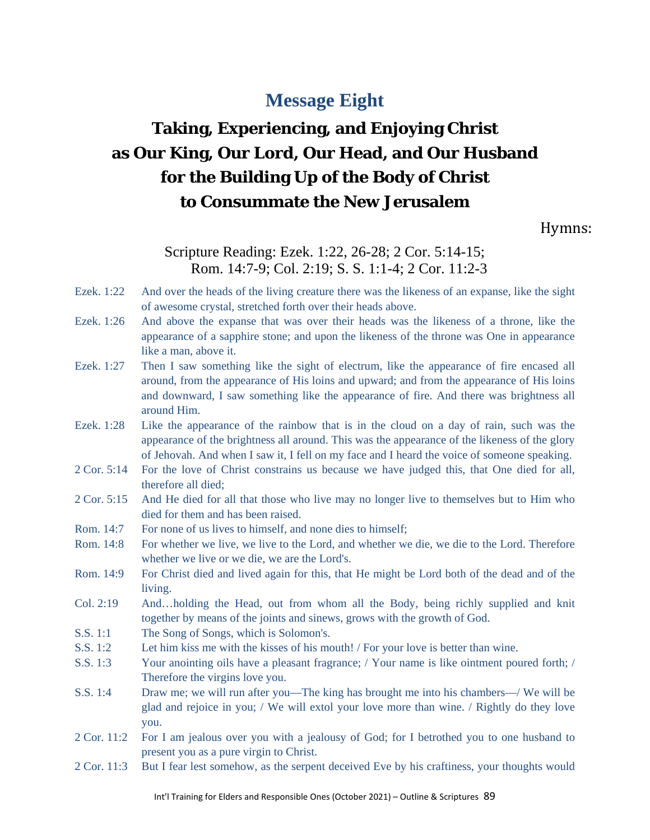# **Message Eight**

# **Taking, Experiencing, and Enjoying Christ as Our King, Our Lord, Our Head, and Our Husband for the Building Up of the Body of Christ to Consummate the New Jerusalem**

Hymns:

# Scripture Reading: Ezek. 1:22, 26-28; 2 Cor. 5:14-15; Rom. 14:7-9; Col. 2:19; S. S. 1:1-4; 2 Cor. 11:2-3

- Ezek. 1:22 And over the heads of the living creature there was the likeness of an expanse, like the sight of awesome crystal, stretched forth over their heads above.
- Ezek. 1:26 And above the expanse that was over their heads was the likeness of a throne, like the appearance of a sapphire stone; and upon the likeness of the throne was One in appearance like a man, above it.
- Ezek. 1:27 Then I saw something like the sight of electrum, like the appearance of fire encased all around, from the appearance of His loins and upward; and from the appearance of His loins and downward, I saw something like the appearance of fire. And there was brightness all around Him.
- Ezek. 1:28 Like the appearance of the rainbow that is in the cloud on a day of rain, such was the appearance of the brightness all around. This was the appearance of the likeness of the glory of Jehovah. And when I saw it, I fell on my face and I heard the voice of someone speaking.
- 2 Cor. 5:14 For the love of Christ constrains us because we have judged this, that One died for all, therefore all died;
- 2 Cor. 5:15 And He died for all that those who live may no longer live to themselves but to Him who died for them and has been raised.
- Rom. 14:7 For none of us lives to himself, and none dies to himself;
- Rom. 14:8 For whether we live, we live to the Lord, and whether we die, we die to the Lord. Therefore whether we live or we die, we are the Lord's.
- Rom. 14:9 For Christ died and lived again for this, that He might be Lord both of the dead and of the living.
- Col. 2:19 And…holding the Head, out from whom all the Body, being richly supplied and knit together by means of the joints and sinews, grows with the growth of God.
- S.S. 1:1 The Song of Songs, which is Solomon's.
- S.S. 1:2 Let him kiss me with the kisses of his mouth! / For your love is better than wine.
- S.S. 1:3 Your anointing oils have a pleasant fragrance; / Your name is like ointment poured forth; / Therefore the virgins love you.
- S.S. 1:4 Draw me; we will run after you—The king has brought me into his chambers—/ We will be glad and rejoice in you; / We will extol your love more than wine. / Rightly do they love you.
- 2 Cor. 11:2 For I am jealous over you with a jealousy of God; for I betrothed you to one husband to present you as a pure virgin to Christ.
- 2 Cor. 11:3 But I fear lest somehow, as the serpent deceived Eve by his craftiness, your thoughts would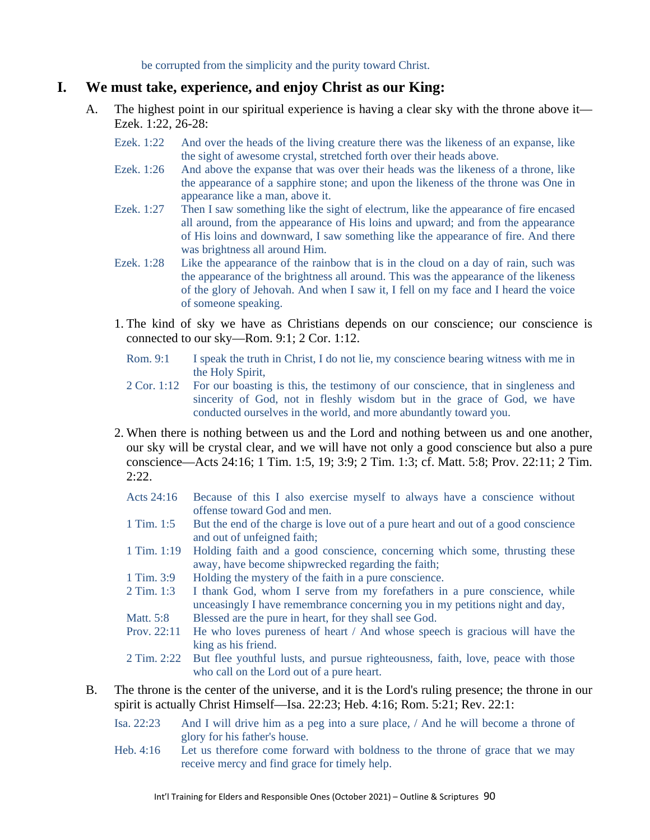be corrupted from the simplicity and the purity toward Christ.

### **I. We must take, experience, and enjoy Christ as our King:**

- A. The highest point in our spiritual experience is having a clear sky with the throne above it— Ezek. 1:22, 26-28:
	- Ezek. 1:22 And over the heads of the living creature there was the likeness of an expanse, like the sight of awesome crystal, stretched forth over their heads above.
	- Ezek. 1:26 And above the expanse that was over their heads was the likeness of a throne, like the appearance of a sapphire stone; and upon the likeness of the throne was One in appearance like a man, above it.
	- Ezek. 1:27 Then I saw something like the sight of electrum, like the appearance of fire encased all around, from the appearance of His loins and upward; and from the appearance of His loins and downward, I saw something like the appearance of fire. And there was brightness all around Him.
	- Ezek. 1:28 Like the appearance of the rainbow that is in the cloud on a day of rain, such was the appearance of the brightness all around. This was the appearance of the likeness of the glory of Jehovah. And when I saw it, I fell on my face and I heard the voice of someone speaking.
	- 1. The kind of sky we have as Christians depends on our conscience; our conscience is connected to our sky—Rom. 9:1; 2 Cor. 1:12.
		- Rom. 9:1 I speak the truth in Christ, I do not lie, my conscience bearing witness with me in the Holy Spirit,
		- 2 Cor. 1:12 For our boasting is this, the testimony of our conscience, that in singleness and sincerity of God, not in fleshly wisdom but in the grace of God, we have conducted ourselves in the world, and more abundantly toward you.
	- 2. When there is nothing between us and the Lord and nothing between us and one another, our sky will be crystal clear, and we will have not only a good conscience but also a pure conscience—Acts 24:16; 1 Tim. 1:5, 19; 3:9; 2 Tim. 1:3; cf. Matt. 5:8; Prov. 22:11; 2 Tim. 2:22.
		- Acts 24:16 Because of this I also exercise myself to always have a conscience without offense toward God and men.
		- 1 Tim. 1:5 But the end of the charge is love out of a pure heart and out of a good conscience and out of unfeigned faith;
		- 1 Tim. 1:19 Holding faith and a good conscience, concerning which some, thrusting these away, have become shipwrecked regarding the faith;
		- 1 Tim. 3:9 Holding the mystery of the faith in a pure conscience.
		- 2 Tim. 1:3 I thank God, whom I serve from my forefathers in a pure conscience, while unceasingly I have remembrance concerning you in my petitions night and day,
		- Matt. 5:8 Blessed are the pure in heart, for they shall see God.
		- Prov. 22:11 He who loves pureness of heart / And whose speech is gracious will have the king as his friend.
		- 2 Tim. 2:22 But flee youthful lusts, and pursue righteousness, faith, love, peace with those who call on the Lord out of a pure heart.
- B. The throne is the center of the universe, and it is the Lord's ruling presence; the throne in our spirit is actually Christ Himself—Isa. 22:23; Heb. 4:16; Rom. 5:21; Rev. 22:1:
	- Isa. 22:23 And I will drive him as a peg into a sure place, / And he will become a throne of glory for his father's house.
	- Heb. 4:16 Let us therefore come forward with boldness to the throne of grace that we may receive mercy and find grace for timely help.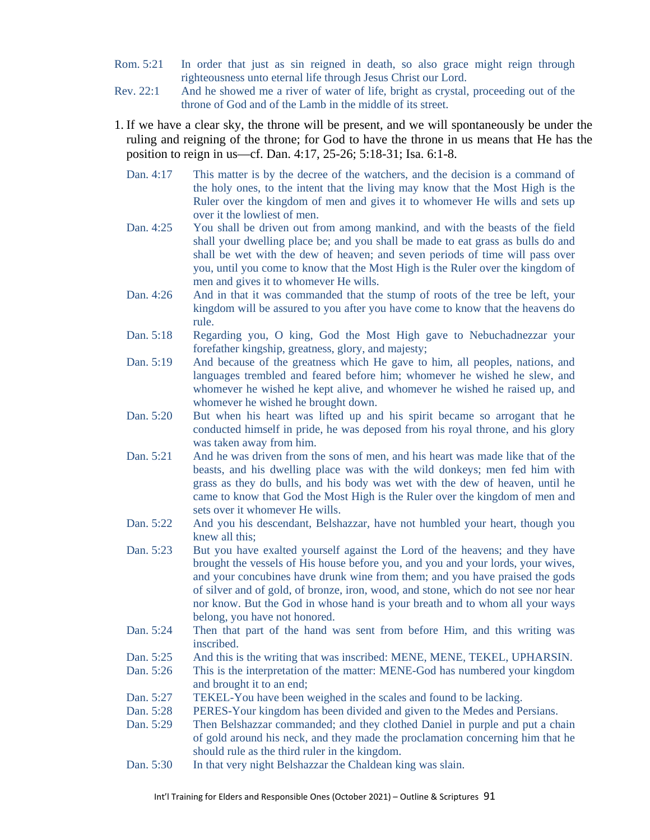- Rom. 5:21 In order that just as sin reigned in death, so also grace might reign through righteousness unto eternal life through Jesus Christ our Lord.
- Rev. 22:1 And he showed me a river of water of life, bright as crystal, proceeding out of the throne of God and of the Lamb in the middle of its street.
- 1. If we have a clear sky, the throne will be present, and we will spontaneously be under the ruling and reigning of the throne; for God to have the throne in us means that He has the position to reign in us—cf. Dan. 4:17, 25-26; 5:18-31; Isa. 6:1-8.
	- Dan. 4:17 This matter is by the decree of the watchers, and the decision is a command of the holy ones, to the intent that the living may know that the Most High is the Ruler over the kingdom of men and gives it to whomever He wills and sets up over it the lowliest of men.
	- Dan. 4:25 You shall be driven out from among mankind, and with the beasts of the field shall your dwelling place be; and you shall be made to eat grass as bulls do and shall be wet with the dew of heaven; and seven periods of time will pass over you, until you come to know that the Most High is the Ruler over the kingdom of men and gives it to whomever He wills.
	- Dan. 4:26 And in that it was commanded that the stump of roots of the tree be left, your kingdom will be assured to you after you have come to know that the heavens do rule.
	- Dan. 5:18 Regarding you, O king, God the Most High gave to Nebuchadnezzar your forefather kingship, greatness, glory, and majesty;
	- Dan. 5:19 And because of the greatness which He gave to him, all peoples, nations, and languages trembled and feared before him; whomever he wished he slew, and whomever he wished he kept alive, and whomever he wished he raised up, and whomever he wished he brought down.
	- Dan. 5:20 But when his heart was lifted up and his spirit became so arrogant that he conducted himself in pride, he was deposed from his royal throne, and his glory was taken away from him.
	- Dan. 5:21 And he was driven from the sons of men, and his heart was made like that of the beasts, and his dwelling place was with the wild donkeys; men fed him with grass as they do bulls, and his body was wet with the dew of heaven, until he came to know that God the Most High is the Ruler over the kingdom of men and sets over it whomever He wills.
	- Dan. 5:22 And you his descendant, Belshazzar, have not humbled your heart, though you knew all this;
	- Dan. 5:23 But you have exalted yourself against the Lord of the heavens; and they have brought the vessels of His house before you, and you and your lords, your wives, and your concubines have drunk wine from them; and you have praised the gods of silver and of gold, of bronze, iron, wood, and stone, which do not see nor hear nor know. But the God in whose hand is your breath and to whom all your ways belong, you have not honored.
	- Dan. 5:24 Then that part of the hand was sent from before Him, and this writing was inscribed.
	- Dan. 5:25 And this is the writing that was inscribed: MENE, MENE, TEKEL, UPHARSIN.
	- Dan. 5:26 This is the interpretation of the matter: MENE-God has numbered your kingdom and brought it to an end;
	- Dan. 5:27 TEKEL-You have been weighed in the scales and found to be lacking.
	- Dan. 5:28 PERES-Your kingdom has been divided and given to the Medes and Persians.
	- Dan. 5:29 Then Belshazzar commanded; and they clothed Daniel in purple and put a chain of gold around his neck, and they made the proclamation concerning him that he should rule as the third ruler in the kingdom.
	- Dan. 5:30 In that very night Belshazzar the Chaldean king was slain.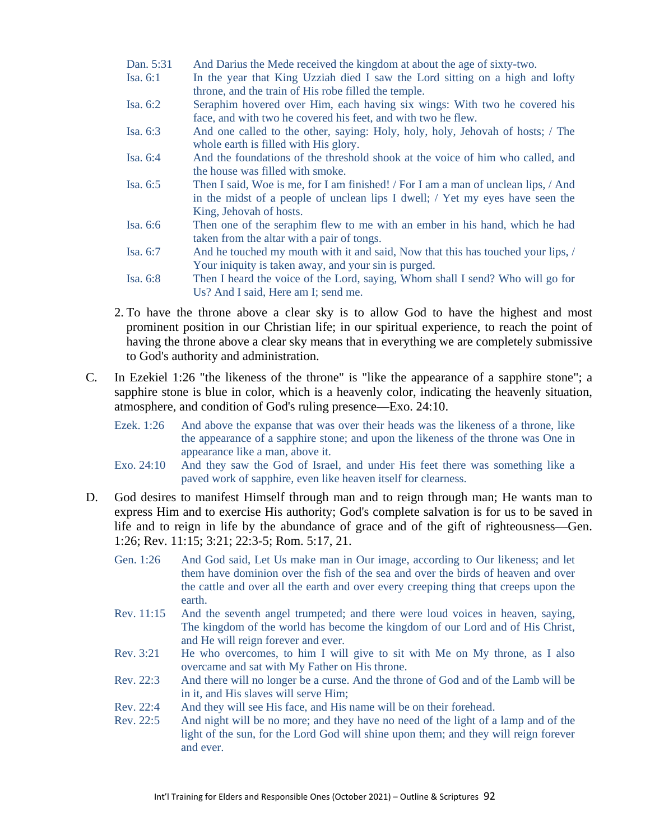- Dan. 5:31 And Darius the Mede received the kingdom at about the age of sixty-two.
- Isa. 6:1 In the year that King Uzziah died I saw the Lord sitting on a high and lofty throne, and the train of His robe filled the temple.
- Isa. 6:2 Seraphim hovered over Him, each having six wings: With two he covered his face, and with two he covered his feet, and with two he flew.
- Isa. 6:3 And one called to the other, saying: Holy, holy, holy, Jehovah of hosts; / The whole earth is filled with His glory.
- Isa. 6:4 And the foundations of the threshold shook at the voice of him who called, and the house was filled with smoke.
- Isa. 6:5 Then I said, Woe is me, for I am finished! / For I am a man of unclean lips, / And in the midst of a people of unclean lips I dwell; / Yet my eyes have seen the King, Jehovah of hosts.
- Isa. 6:6 Then one of the seraphim flew to me with an ember in his hand, which he had taken from the altar with a pair of tongs.
- Isa. 6:7 And he touched my mouth with it and said, Now that this has touched your lips, / Your iniquity is taken away, and your sin is purged.
- Isa. 6:8 Then I heard the voice of the Lord, saying, Whom shall I send? Who will go for Us? And I said, Here am I; send me.
- 2. To have the throne above a clear sky is to allow God to have the highest and most prominent position in our Christian life; in our spiritual experience, to reach the point of having the throne above a clear sky means that in everything we are completely submissive to God's authority and administration.
- C. In Ezekiel 1:26 "the likeness of the throne" is "like the appearance of a sapphire stone"; a sapphire stone is blue in color, which is a heavenly color, indicating the heavenly situation, atmosphere, and condition of God's ruling presence—Exo. 24:10.
	- Ezek. 1:26 And above the expanse that was over their heads was the likeness of a throne, like the appearance of a sapphire stone; and upon the likeness of the throne was One in appearance like a man, above it.
	- Exo. 24:10 And they saw the God of Israel, and under His feet there was something like a paved work of sapphire, even like heaven itself for clearness.
- D. God desires to manifest Himself through man and to reign through man; He wants man to express Him and to exercise His authority; God's complete salvation is for us to be saved in life and to reign in life by the abundance of grace and of the gift of righteousness—Gen. 1:26; Rev. 11:15; 3:21; 22:3-5; Rom. 5:17, 21.
	- Gen. 1:26 And God said, Let Us make man in Our image, according to Our likeness; and let them have dominion over the fish of the sea and over the birds of heaven and over the cattle and over all the earth and over every creeping thing that creeps upon the earth.
	- Rev. 11:15 And the seventh angel trumpeted; and there were loud voices in heaven, saying, The kingdom of the world has become the kingdom of our Lord and of His Christ, and He will reign forever and ever.
	- Rev. 3:21 He who overcomes, to him I will give to sit with Me on My throne, as I also overcame and sat with My Father on His throne.
	- Rev. 22:3 And there will no longer be a curse. And the throne of God and of the Lamb will be in it, and His slaves will serve Him;
	- Rev. 22:4 And they will see His face, and His name will be on their forehead.
	- Rev. 22:5 And night will be no more; and they have no need of the light of a lamp and of the light of the sun, for the Lord God will shine upon them; and they will reign forever and ever.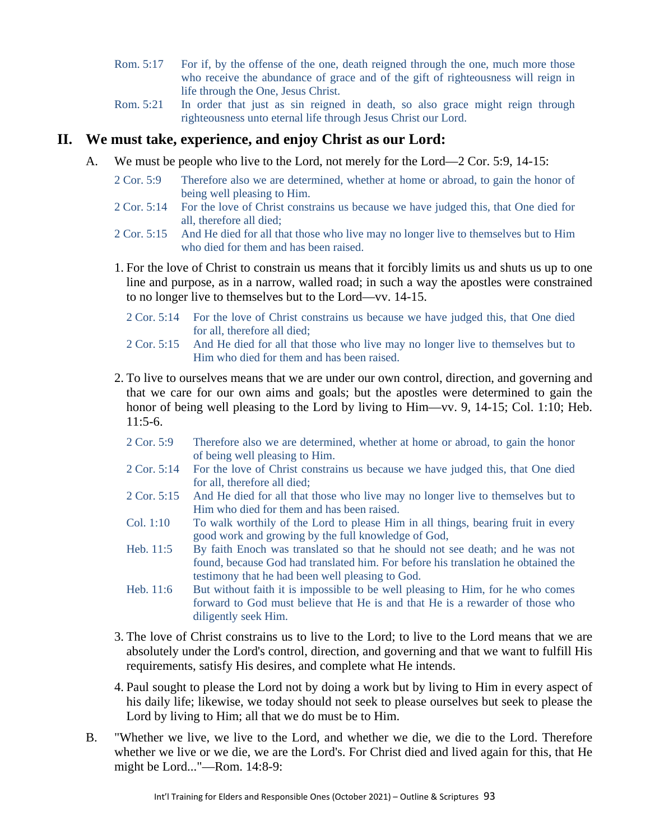- Rom. 5:17 For if, by the offense of the one, death reigned through the one, much more those who receive the abundance of grace and of the gift of righteousness will reign in life through the One, Jesus Christ.
- Rom. 5:21 In order that just as sin reigned in death, so also grace might reign through righteousness unto eternal life through Jesus Christ our Lord.

#### **II. We must take, experience, and enjoy Christ as our Lord:**

- A. We must be people who live to the Lord, not merely for the Lord—2 Cor. 5:9, 14-15:
	- 2 Cor. 5:9 Therefore also we are determined, whether at home or abroad, to gain the honor of being well pleasing to Him.
	- 2 Cor. 5:14 For the love of Christ constrains us because we have judged this, that One died for all, therefore all died;
	- 2 Cor. 5:15 And He died for all that those who live may no longer live to themselves but to Him who died for them and has been raised.
	- 1. For the love of Christ to constrain us means that it forcibly limits us and shuts us up to one line and purpose, as in a narrow, walled road; in such a way the apostles were constrained to no longer live to themselves but to the Lord—vv. 14-15.
		- 2 Cor. 5:14 For the love of Christ constrains us because we have judged this, that One died for all, therefore all died;
		- 2 Cor. 5:15 And He died for all that those who live may no longer live to themselves but to Him who died for them and has been raised.
	- 2. To live to ourselves means that we are under our own control, direction, and governing and that we care for our own aims and goals; but the apostles were determined to gain the honor of being well pleasing to the Lord by living to Him—vv. 9, 14-15; Col. 1:10; Heb.  $11:5-6.$ 
		- 2 Cor. 5:9 Therefore also we are determined, whether at home or abroad, to gain the honor of being well pleasing to Him.
		- 2 Cor. 5:14 For the love of Christ constrains us because we have judged this, that One died for all, therefore all died;
		- 2 Cor. 5:15 And He died for all that those who live may no longer live to themselves but to Him who died for them and has been raised.
		- Col. 1:10 To walk worthily of the Lord to please Him in all things, bearing fruit in every good work and growing by the full knowledge of God,
		- Heb. 11:5 By faith Enoch was translated so that he should not see death; and he was not found, because God had translated him. For before his translation he obtained the testimony that he had been well pleasing to God.
		- Heb. 11:6 But without faith it is impossible to be well pleasing to Him, for he who comes forward to God must believe that He is and that He is a rewarder of those who diligently seek Him.
	- 3. The love of Christ constrains us to live to the Lord; to live to the Lord means that we are absolutely under the Lord's control, direction, and governing and that we want to fulfill His requirements, satisfy His desires, and complete what He intends.
	- 4. Paul sought to please the Lord not by doing a work but by living to Him in every aspect of his daily life; likewise, we today should not seek to please ourselves but seek to please the Lord by living to Him; all that we do must be to Him.
- B. "Whether we live, we live to the Lord, and whether we die, we die to the Lord. Therefore whether we live or we die, we are the Lord's. For Christ died and lived again for this, that He might be Lord..."—Rom. 14:8-9: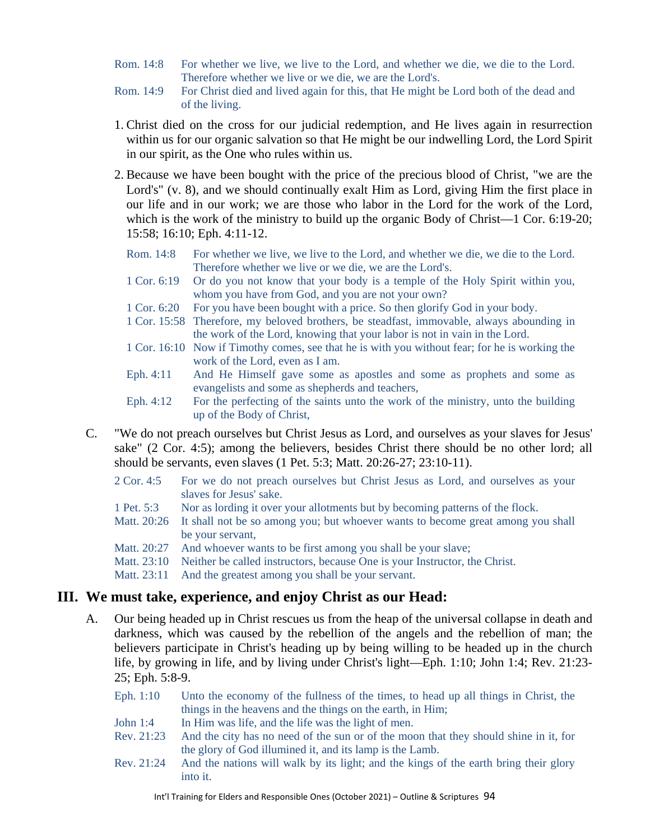- Rom. 14:8 For whether we live, we live to the Lord, and whether we die, we die to the Lord. Therefore whether we live or we die, we are the Lord's.
- Rom. 14:9 For Christ died and lived again for this, that He might be Lord both of the dead and of the living.
- 1. Christ died on the cross for our judicial redemption, and He lives again in resurrection within us for our organic salvation so that He might be our indwelling Lord, the Lord Spirit in our spirit, as the One who rules within us.
- 2. Because we have been bought with the price of the precious blood of Christ, "we are the Lord's" (v. 8), and we should continually exalt Him as Lord, giving Him the first place in our life and in our work; we are those who labor in the Lord for the work of the Lord, which is the work of the ministry to build up the organic Body of Christ—1 Cor. 6:19-20; 15:58; 16:10; Eph. 4:11-12.
	- Rom. 14:8 For whether we live, we live to the Lord, and whether we die, we die to the Lord. Therefore whether we live or we die, we are the Lord's.
	- 1 Cor. 6:19 Or do you not know that your body is a temple of the Holy Spirit within you, whom you have from God, and you are not your own?
	- 1 Cor. 6:20 For you have been bought with a price. So then glorify God in your body.
	- 1 Cor. 15:58 Therefore, my beloved brothers, be steadfast, immovable, always abounding in the work of the Lord, knowing that your labor is not in vain in the Lord.
	- 1 Cor. 16:10 Now if Timothy comes, see that he is with you without fear; for he is working the work of the Lord, even as I am.
	- Eph. 4:11 And He Himself gave some as apostles and some as prophets and some as evangelists and some as shepherds and teachers,
	- Eph. 4:12 For the perfecting of the saints unto the work of the ministry, unto the building up of the Body of Christ,
- C. "We do not preach ourselves but Christ Jesus as Lord, and ourselves as your slaves for Jesus' sake" (2 Cor. 4:5); among the believers, besides Christ there should be no other lord; all should be servants, even slaves (1 Pet. 5:3; Matt. 20:26-27; 23:10-11).
	- 2 Cor. 4:5 For we do not preach ourselves but Christ Jesus as Lord, and ourselves as your slaves for Jesus' sake.
	- 1 Pet. 5:3 Nor as lording it over your allotments but by becoming patterns of the flock.
	- Matt. 20:26 It shall not be so among you; but whoever wants to become great among you shall be your servant,
	- Matt. 20:27 And whoever wants to be first among you shall be your slave;
	- Matt. 23:10 Neither be called instructors, because One is your Instructor, the Christ.
	- Matt. 23:11 And the greatest among you shall be your servant.

# **III. We must take, experience, and enjoy Christ as our Head:**

- A. Our being headed up in Christ rescues us from the heap of the universal collapse in death and darkness, which was caused by the rebellion of the angels and the rebellion of man; the believers participate in Christ's heading up by being willing to be headed up in the church life, by growing in life, and by living under Christ's light—Eph. 1:10; John 1:4; Rev. 21:23- 25; Eph. 5:8-9.
	- Eph. 1:10 Unto the economy of the fullness of the times, to head up all things in Christ, the things in the heavens and the things on the earth, in Him;
	- John 1:4 In Him was life, and the life was the light of men.
	- Rev. 21:23 And the city has no need of the sun or of the moon that they should shine in it, for the glory of God illumined it, and its lamp is the Lamb.
	- Rev. 21:24 And the nations will walk by its light; and the kings of the earth bring their glory into it.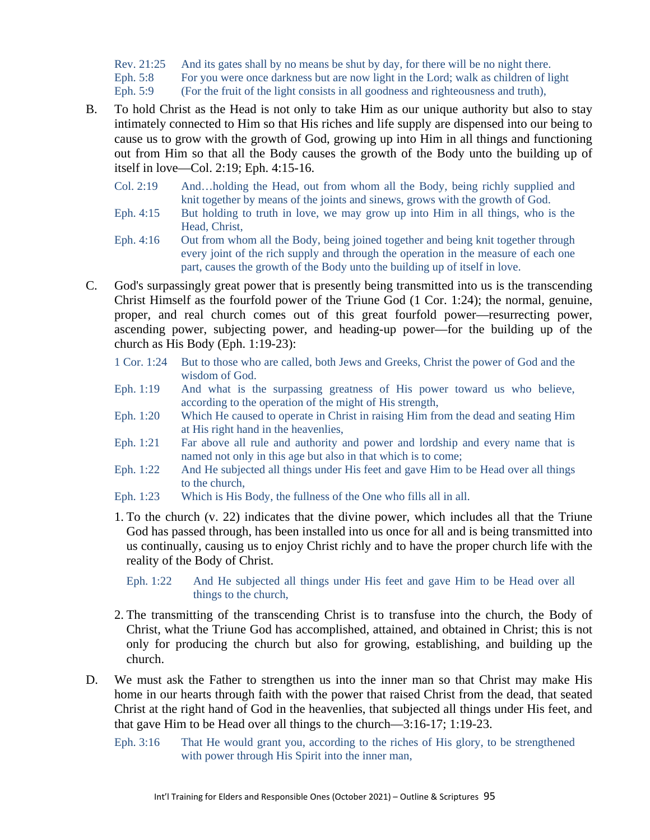Rev. 21:25 And its gates shall by no means be shut by day, for there will be no night there. Eph. 5:8 For you were once darkness but are now light in the Lord; walk as children of light

Eph. 5:9 (For the fruit of the light consists in all goodness and righteousness and truth),

- B. To hold Christ as the Head is not only to take Him as our unique authority but also to stay intimately connected to Him so that His riches and life supply are dispensed into our being to cause us to grow with the growth of God, growing up into Him in all things and functioning out from Him so that all the Body causes the growth of the Body unto the building up of itself in love—Col. 2:19; Eph. 4:15-16.
	- Col. 2:19 And…holding the Head, out from whom all the Body, being richly supplied and knit together by means of the joints and sinews, grows with the growth of God.
	- Eph. 4:15 But holding to truth in love, we may grow up into Him in all things, who is the Head, Christ,
	- Eph. 4:16 Out from whom all the Body, being joined together and being knit together through every joint of the rich supply and through the operation in the measure of each one part, causes the growth of the Body unto the building up of itself in love.
- C. God's surpassingly great power that is presently being transmitted into us is the transcending Christ Himself as the fourfold power of the Triune God (1 Cor. 1:24); the normal, genuine, proper, and real church comes out of this great fourfold power—resurrecting power, ascending power, subjecting power, and heading-up power—for the building up of the church as His Body (Eph. 1:19-23):
	- 1 Cor. 1:24 But to those who are called, both Jews and Greeks, Christ the power of God and the wisdom of God.
	- Eph. 1:19 And what is the surpassing greatness of His power toward us who believe, according to the operation of the might of His strength,
	- Eph. 1:20 Which He caused to operate in Christ in raising Him from the dead and seating Him at His right hand in the heavenlies,
	- Eph. 1:21 Far above all rule and authority and power and lordship and every name that is named not only in this age but also in that which is to come;
	- Eph. 1:22 And He subjected all things under His feet and gave Him to be Head over all things to the church,
	- Eph. 1:23 Which is His Body, the fullness of the One who fills all in all.
	- 1. To the church (v. 22) indicates that the divine power, which includes all that the Triune God has passed through, has been installed into us once for all and is being transmitted into us continually, causing us to enjoy Christ richly and to have the proper church life with the reality of the Body of Christ.
		- Eph. 1:22 And He subjected all things under His feet and gave Him to be Head over all things to the church,
	- 2. The transmitting of the transcending Christ is to transfuse into the church, the Body of Christ, what the Triune God has accomplished, attained, and obtained in Christ; this is not only for producing the church but also for growing, establishing, and building up the church.
- D. We must ask the Father to strengthen us into the inner man so that Christ may make His home in our hearts through faith with the power that raised Christ from the dead, that seated Christ at the right hand of God in the heavenlies, that subjected all things under His feet, and that gave Him to be Head over all things to the church—3:16-17; 1:19-23.
	- Eph. 3:16 That He would grant you, according to the riches of His glory, to be strengthened with power through His Spirit into the inner man,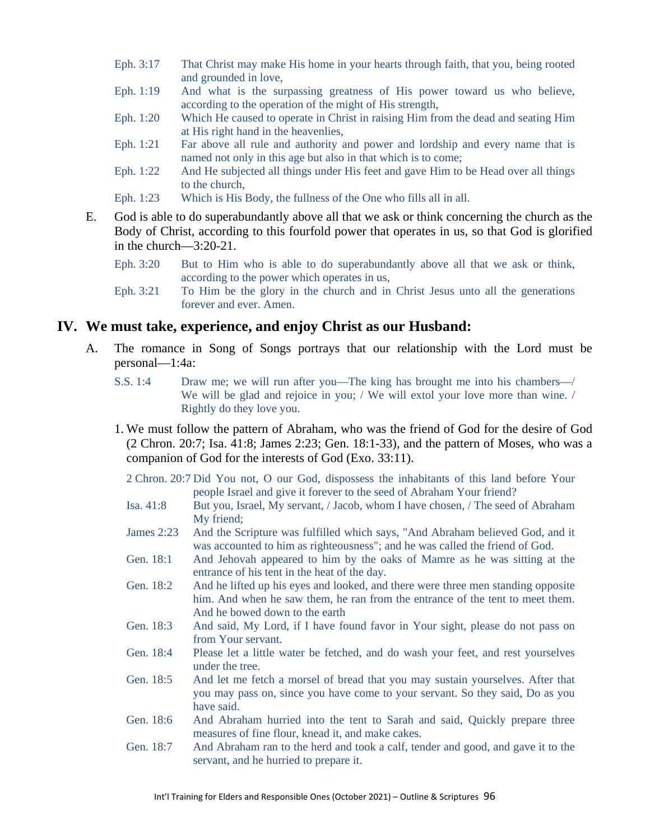- Eph. 3:17 That Christ may make His home in your hearts through faith, that you, being rooted and grounded in love,
- Eph. 1:19 And what is the surpassing greatness of His power toward us who believe, according to the operation of the might of His strength,
- Eph. 1:20 Which He caused to operate in Christ in raising Him from the dead and seating Him at His right hand in the heavenlies,
- Eph. 1:21 Far above all rule and authority and power and lordship and every name that is named not only in this age but also in that which is to come;
- Eph. 1:22 And He subjected all things under His feet and gave Him to be Head over all things to the church,
- Eph. 1:23 Which is His Body, the fullness of the One who fills all in all.
- E. God is able to do superabundantly above all that we ask or think concerning the church as the Body of Christ, according to this fourfold power that operates in us, so that God is glorified in the church—3:20-21.
	- Eph. 3:20 But to Him who is able to do superabundantly above all that we ask or think, according to the power which operates in us,
	- Eph. 3:21 To Him be the glory in the church and in Christ Jesus unto all the generations forever and ever. Amen.

#### **IV. We must take, experience, and enjoy Christ as our Husband:**

- A. The romance in Song of Songs portrays that our relationship with the Lord must be personal—1:4a:
	- S.S. 1:4 Draw me; we will run after you—The king has brought me into his chambers—/ We will be glad and rejoice in you; / We will extol your love more than wine. / Rightly do they love you.
	- 1. We must follow the pattern of Abraham, who was the friend of God for the desire of God (2 Chron. 20:7; Isa. 41:8; James 2:23; Gen. 18:1-33), and the pattern of Moses, who was a companion of God for the interests of God (Exo. 33:11).

2 Chron. 20:7 Did You not, O our God, dispossess the inhabitants of this land before Your people Israel and give it forever to the seed of Abraham Your friend?

- Isa. 41:8 But you, Israel, My servant, / Jacob, whom I have chosen, / The seed of Abraham My friend;
- James 2:23 And the Scripture was fulfilled which says, "And Abraham believed God, and it was accounted to him as righteousness"; and he was called the friend of God.
- Gen. 18:1 And Jehovah appeared to him by the oaks of Mamre as he was sitting at the entrance of his tent in the heat of the day.
- Gen. 18:2 And he lifted up his eyes and looked, and there were three men standing opposite him. And when he saw them, he ran from the entrance of the tent to meet them. And he bowed down to the earth
- Gen. 18:3 And said, My Lord, if I have found favor in Your sight, please do not pass on from Your servant.
- Gen. 18:4 Please let a little water be fetched, and do wash your feet, and rest yourselves under the tree.
- Gen. 18:5 And let me fetch a morsel of bread that you may sustain yourselves. After that you may pass on, since you have come to your servant. So they said, Do as you have said.
- Gen. 18:6 And Abraham hurried into the tent to Sarah and said, Quickly prepare three measures of fine flour, knead it, and make cakes.
- Gen. 18:7 And Abraham ran to the herd and took a calf, tender and good, and gave it to the servant, and he hurried to prepare it.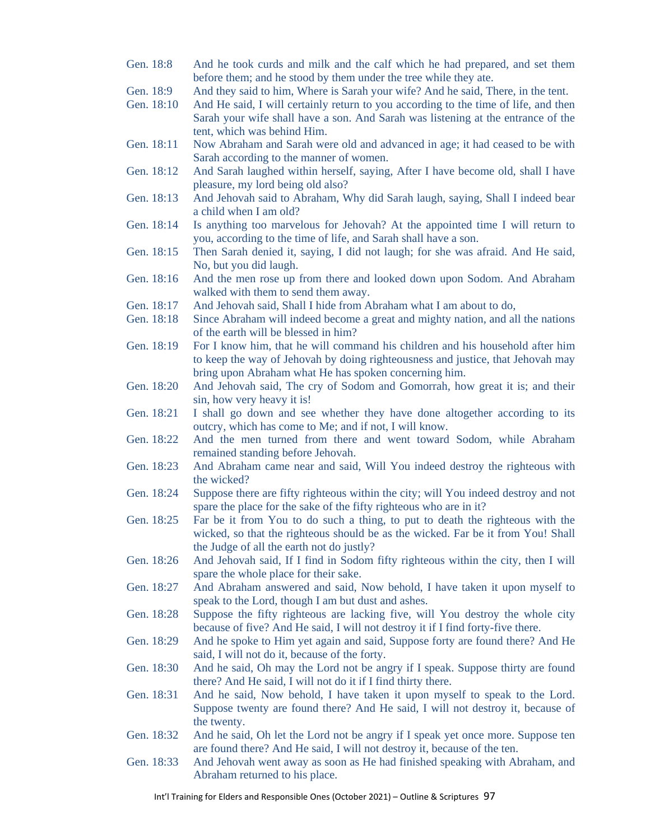- Gen. 18:8 And he took curds and milk and the calf which he had prepared, and set them before them; and he stood by them under the tree while they ate.
- Gen. 18:9 And they said to him, Where is Sarah your wife? And he said, There, in the tent.
- Gen. 18:10 And He said, I will certainly return to you according to the time of life, and then Sarah your wife shall have a son. And Sarah was listening at the entrance of the tent, which was behind Him.
- Gen. 18:11 Now Abraham and Sarah were old and advanced in age; it had ceased to be with Sarah according to the manner of women.
- Gen. 18:12 And Sarah laughed within herself, saying, After I have become old, shall I have pleasure, my lord being old also?
- Gen. 18:13 And Jehovah said to Abraham, Why did Sarah laugh, saying, Shall I indeed bear a child when I am old?
- Gen. 18:14 Is anything too marvelous for Jehovah? At the appointed time I will return to you, according to the time of life, and Sarah shall have a son.
- Gen. 18:15 Then Sarah denied it, saying, I did not laugh; for she was afraid. And He said, No, but you did laugh.
- Gen. 18:16 And the men rose up from there and looked down upon Sodom. And Abraham walked with them to send them away.
- Gen. 18:17 And Jehovah said, Shall I hide from Abraham what I am about to do,
- Gen. 18:18 Since Abraham will indeed become a great and mighty nation, and all the nations of the earth will be blessed in him?
- Gen. 18:19 For I know him, that he will command his children and his household after him to keep the way of Jehovah by doing righteousness and justice, that Jehovah may bring upon Abraham what He has spoken concerning him.
- Gen. 18:20 And Jehovah said, The cry of Sodom and Gomorrah, how great it is; and their sin, how very heavy it is!
- Gen. 18:21 I shall go down and see whether they have done altogether according to its outcry, which has come to Me; and if not, I will know.
- Gen. 18:22 And the men turned from there and went toward Sodom, while Abraham remained standing before Jehovah.
- Gen. 18:23 And Abraham came near and said, Will You indeed destroy the righteous with the wicked?
- Gen. 18:24 Suppose there are fifty righteous within the city; will You indeed destroy and not spare the place for the sake of the fifty righteous who are in it?
- Gen. 18:25 Far be it from You to do such a thing, to put to death the righteous with the wicked, so that the righteous should be as the wicked. Far be it from You! Shall the Judge of all the earth not do justly?
- Gen. 18:26 And Jehovah said, If I find in Sodom fifty righteous within the city, then I will spare the whole place for their sake.
- Gen. 18:27 And Abraham answered and said, Now behold, I have taken it upon myself to speak to the Lord, though I am but dust and ashes.
- Gen. 18:28 Suppose the fifty righteous are lacking five, will You destroy the whole city because of five? And He said, I will not destroy it if I find forty-five there.
- Gen. 18:29 And he spoke to Him yet again and said, Suppose forty are found there? And He said, I will not do it, because of the forty.
- Gen. 18:30 And he said, Oh may the Lord not be angry if I speak. Suppose thirty are found there? And He said, I will not do it if I find thirty there.
- Gen. 18:31 And he said, Now behold, I have taken it upon myself to speak to the Lord. Suppose twenty are found there? And He said, I will not destroy it, because of the twenty.
- Gen. 18:32 And he said, Oh let the Lord not be angry if I speak yet once more. Suppose ten are found there? And He said, I will not destroy it, because of the ten.
- Gen. 18:33 And Jehovah went away as soon as He had finished speaking with Abraham, and Abraham returned to his place.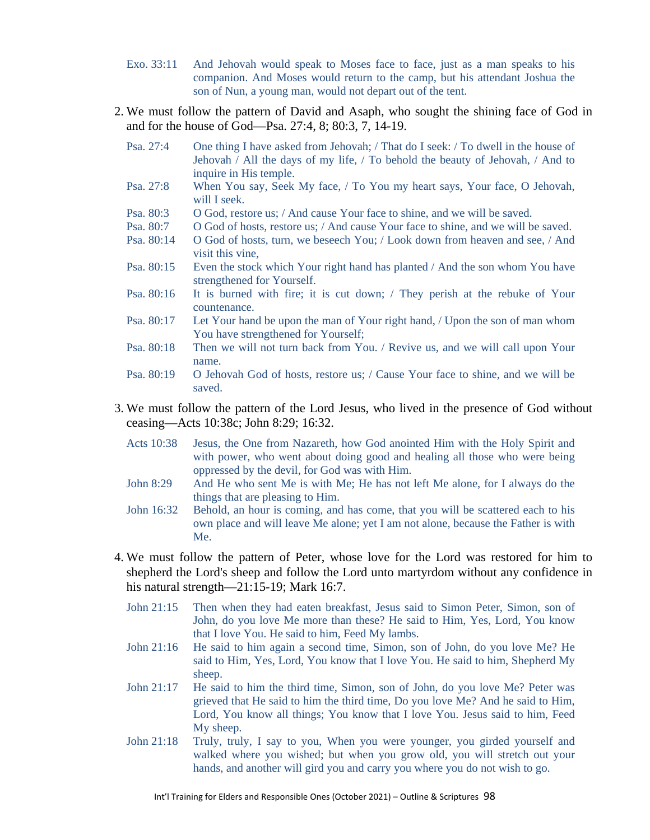- Exo. 33:11 And Jehovah would speak to Moses face to face, just as a man speaks to his companion. And Moses would return to the camp, but his attendant Joshua the son of Nun, a young man, would not depart out of the tent.
- 2. We must follow the pattern of David and Asaph, who sought the shining face of God in and for the house of God—Psa. 27:4, 8; 80:3, 7, 14-19.
	- Psa. 27:4 One thing I have asked from Jehovah; / That do I seek: / To dwell in the house of Jehovah / All the days of my life, / To behold the beauty of Jehovah, / And to inquire in His temple.
	- Psa. 27:8 When You say, Seek My face, / To You my heart says, Your face, O Jehovah, will I seek.
	- Psa. 80:3 O God, restore us; / And cause Your face to shine, and we will be saved.
	- Psa. 80:7 O God of hosts, restore us; / And cause Your face to shine, and we will be saved.<br>Psa. 80:14 O God of hosts, turn, we beseech You; / Look down from heaven and see, / And
	- O God of hosts, turn, we beseech You; / Look down from heaven and see, / And visit this vine,
	- Psa. 80:15 Even the stock which Your right hand has planted / And the son whom You have strengthened for Yourself.
	- Psa. 80:16 It is burned with fire; it is cut down; / They perish at the rebuke of Your countenance.
	- Psa. 80:17 Let Your hand be upon the man of Your right hand, / Upon the son of man whom You have strengthened for Yourself;
	- Psa. 80:18 Then we will not turn back from You. / Revive us, and we will call upon Your name.
	- Psa. 80:19 O Jehovah God of hosts, restore us; / Cause Your face to shine, and we will be saved.
- 3. We must follow the pattern of the Lord Jesus, who lived in the presence of God without ceasing—Acts 10:38c; John 8:29; 16:32.
	- Acts 10:38 Jesus, the One from Nazareth, how God anointed Him with the Holy Spirit and with power, who went about doing good and healing all those who were being oppressed by the devil, for God was with Him.
	- John 8:29 And He who sent Me is with Me; He has not left Me alone, for I always do the things that are pleasing to Him.
	- John 16:32 Behold, an hour is coming, and has come, that you will be scattered each to his own place and will leave Me alone; yet I am not alone, because the Father is with Me.
- 4. We must follow the pattern of Peter, whose love for the Lord was restored for him to shepherd the Lord's sheep and follow the Lord unto martyrdom without any confidence in his natural strength—21:15-19; Mark 16:7.
	- John 21:15 Then when they had eaten breakfast, Jesus said to Simon Peter, Simon, son of John, do you love Me more than these? He said to Him, Yes, Lord, You know that I love You. He said to him, Feed My lambs.
	- John 21:16 He said to him again a second time, Simon, son of John, do you love Me? He said to Him, Yes, Lord, You know that I love You. He said to him, Shepherd My sheep.
	- John 21:17 He said to him the third time, Simon, son of John, do you love Me? Peter was grieved that He said to him the third time, Do you love Me? And he said to Him, Lord, You know all things; You know that I love You. Jesus said to him, Feed My sheep.
	- John 21:18 Truly, truly, I say to you, When you were younger, you girded yourself and walked where you wished; but when you grow old, you will stretch out your hands, and another will gird you and carry you where you do not wish to go.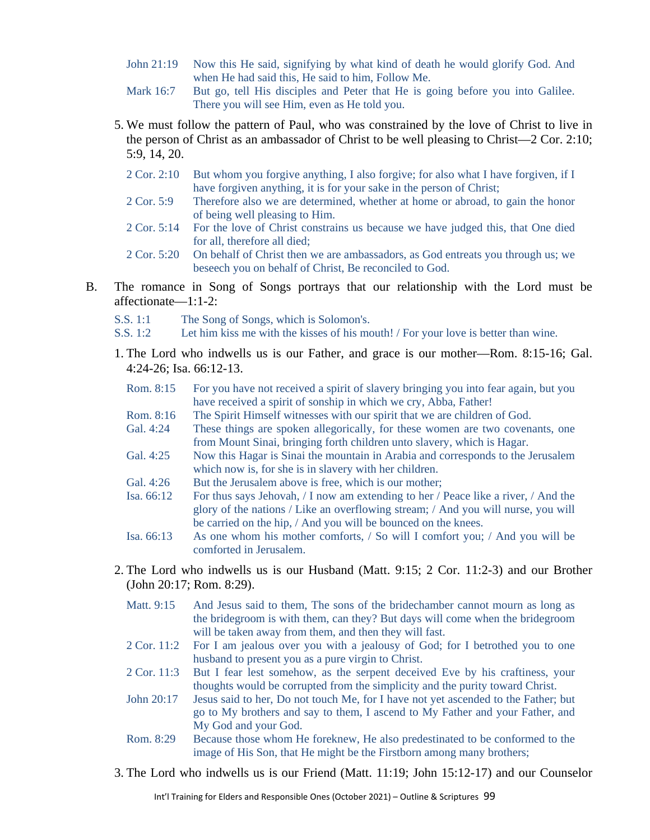- John 21:19 Now this He said, signifying by what kind of death he would glorify God. And when He had said this, He said to him, Follow Me.
- Mark 16:7 But go, tell His disciples and Peter that He is going before you into Galilee. There you will see Him, even as He told you.
- 5. We must follow the pattern of Paul, who was constrained by the love of Christ to live in the person of Christ as an ambassador of Christ to be well pleasing to Christ—2 Cor. 2:10; 5:9, 14, 20.
	- 2 Cor. 2:10 But whom you forgive anything, I also forgive; for also what I have forgiven, if I have forgiven anything, it is for your sake in the person of Christ;
	- 2 Cor. 5:9 Therefore also we are determined, whether at home or abroad, to gain the honor of being well pleasing to Him.
	- 2 Cor. 5:14 For the love of Christ constrains us because we have judged this, that One died for all, therefore all died;
	- 2 Cor. 5:20 On behalf of Christ then we are ambassadors, as God entreats you through us; we beseech you on behalf of Christ, Be reconciled to God.
- B. The romance in Song of Songs portrays that our relationship with the Lord must be affectionate—1:1-2:
	- S.S. 1:1 The Song of Songs, which is Solomon's.
	- S.S. 1:2 Let him kiss me with the kisses of his mouth! / For your love is better than wine.
	- 1. The Lord who indwells us is our Father, and grace is our mother—Rom. 8:15-16; Gal. 4:24-26; Isa. 66:12-13.
		- Rom. 8:15 For you have not received a spirit of slavery bringing you into fear again, but you have received a spirit of sonship in which we cry, Abba, Father!
		- Rom. 8:16 The Spirit Himself witnesses with our spirit that we are children of God.
		- Gal. 4:24 These things are spoken allegorically, for these women are two covenants, one from Mount Sinai, bringing forth children unto slavery, which is Hagar.
		- Gal. 4:25 Now this Hagar is Sinai the mountain in Arabia and corresponds to the Jerusalem which now is, for she is in slavery with her children.
		- Gal. 4:26 But the Jerusalem above is free, which is our mother;
		- Isa. 66:12 For thus says Jehovah, / I now am extending to her / Peace like a river, / And the glory of the nations / Like an overflowing stream; / And you will nurse, you will be carried on the hip, / And you will be bounced on the knees.
		- Isa. 66:13 As one whom his mother comforts, / So will I comfort you; / And you will be comforted in Jerusalem.
	- 2. The Lord who indwells us is our Husband (Matt. 9:15; 2 Cor. 11:2-3) and our Brother (John 20:17; Rom. 8:29).
		- Matt. 9:15 And Jesus said to them, The sons of the bridechamber cannot mourn as long as the bridegroom is with them, can they? But days will come when the bridegroom will be taken away from them, and then they will fast.
		- 2 Cor. 11:2 For I am jealous over you with a jealousy of God; for I betrothed you to one husband to present you as a pure virgin to Christ.
		- 2 Cor. 11:3 But I fear lest somehow, as the serpent deceived Eve by his craftiness, your thoughts would be corrupted from the simplicity and the purity toward Christ.
		- John 20:17 Jesus said to her, Do not touch Me, for I have not yet ascended to the Father; but go to My brothers and say to them, I ascend to My Father and your Father, and My God and your God.
		- Rom. 8:29 Because those whom He foreknew, He also predestinated to be conformed to the image of His Son, that He might be the Firstborn among many brothers;
	- 3. The Lord who indwells us is our Friend (Matt. 11:19; John 15:12-17) and our Counselor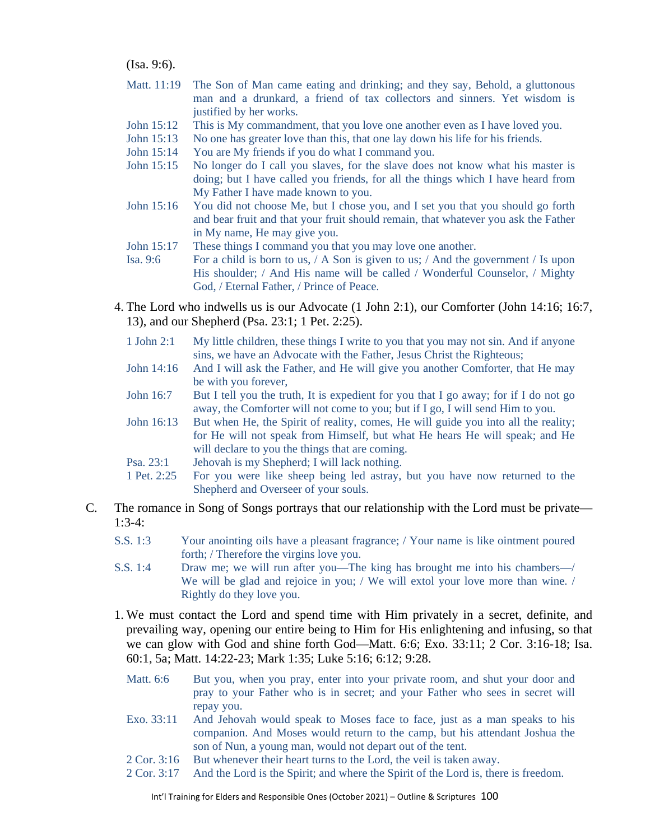(Isa. 9:6).

- Matt. 11:19 The Son of Man came eating and drinking; and they say, Behold, a gluttonous man and a drunkard, a friend of tax collectors and sinners. Yet wisdom is justified by her works.
- John 15:12 This is My commandment, that you love one another even as I have loved you.
- John 15:13 No one has greater love than this, that one lay down his life for his friends.
- John 15:14 You are My friends if you do what I command you.
- John 15:15 No longer do I call you slaves, for the slave does not know what his master is doing; but I have called you friends, for all the things which I have heard from My Father I have made known to you.
- John 15:16 You did not choose Me, but I chose you, and I set you that you should go forth and bear fruit and that your fruit should remain, that whatever you ask the Father in My name, He may give you.
- John 15:17 These things I command you that you may love one another.
- Isa. 9:6 For a child is born to us, / A Son is given to us; / And the government / Is upon His shoulder; / And His name will be called / Wonderful Counselor, / Mighty God, / Eternal Father, / Prince of Peace.
- 4. The Lord who indwells us is our Advocate (1 John 2:1), our Comforter (John 14:16; 16:7, 13), and our Shepherd (Psa. 23:1; 1 Pet. 2:25).
	- 1 John 2:1 My little children, these things I write to you that you may not sin. And if anyone sins, we have an Advocate with the Father, Jesus Christ the Righteous;
	- John 14:16 And I will ask the Father, and He will give you another Comforter, that He may be with you forever,
	- John 16:7 But I tell you the truth, It is expedient for you that I go away; for if I do not go away, the Comforter will not come to you; but if I go, I will send Him to you.
	- John 16:13 But when He, the Spirit of reality, comes, He will guide you into all the reality; for He will not speak from Himself, but what He hears He will speak; and He will declare to you the things that are coming.
	- Psa. 23:1 Jehovah is my Shepherd; I will lack nothing.
	- 1 Pet. 2:25 For you were like sheep being led astray, but you have now returned to the Shepherd and Overseer of your souls.
- C. The romance in Song of Songs portrays that our relationship with the Lord must be private— 1:3-4:
	- S.S. 1:3 Your anointing oils have a pleasant fragrance; / Your name is like ointment poured forth; / Therefore the virgins love you.
	- S.S. 1:4 Draw me; we will run after you—The king has brought me into his chambers—/ We will be glad and rejoice in you; / We will extol your love more than wine. / Rightly do they love you.
	- 1. We must contact the Lord and spend time with Him privately in a secret, definite, and prevailing way, opening our entire being to Him for His enlightening and infusing, so that we can glow with God and shine forth God—Matt. 6:6; Exo. 33:11; 2 Cor. 3:16-18; Isa. 60:1, 5a; Matt. 14:22-23; Mark 1:35; Luke 5:16; 6:12; 9:28.
		- Matt. 6:6 But you, when you pray, enter into your private room, and shut your door and pray to your Father who is in secret; and your Father who sees in secret will repay you.
		- Exo. 33:11 And Jehovah would speak to Moses face to face, just as a man speaks to his companion. And Moses would return to the camp, but his attendant Joshua the son of Nun, a young man, would not depart out of the tent.
		- 2 Cor. 3:16 But whenever their heart turns to the Lord, the veil is taken away.
		- 2 Cor. 3:17 And the Lord is the Spirit; and where the Spirit of the Lord is, there is freedom.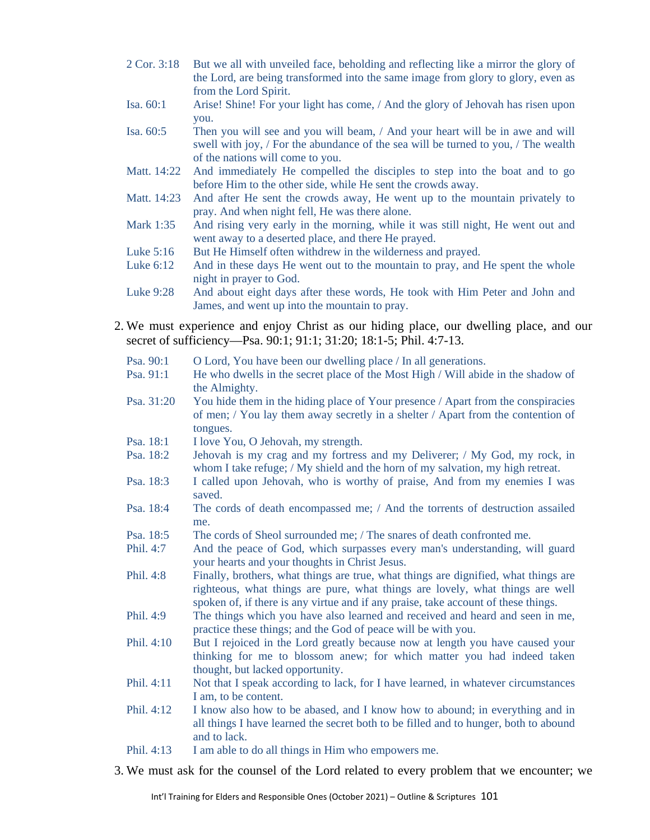- 2 Cor. 3:18 But we all with unveiled face, beholding and reflecting like a mirror the glory of the Lord, are being transformed into the same image from glory to glory, even as from the Lord Spirit.
- Isa. 60:1 Arise! Shine! For your light has come, / And the glory of Jehovah has risen upon you.
- Isa. 60:5 Then you will see and you will beam, / And your heart will be in awe and will swell with joy, / For the abundance of the sea will be turned to you, / The wealth of the nations will come to you.
- Matt. 14:22 And immediately He compelled the disciples to step into the boat and to go before Him to the other side, while He sent the crowds away.
- Matt. 14:23 And after He sent the crowds away, He went up to the mountain privately to pray. And when night fell, He was there alone.
- Mark 1:35 And rising very early in the morning, while it was still night, He went out and went away to a deserted place, and there He prayed.
- Luke 5:16 But He Himself often withdrew in the wilderness and prayed.<br>Luke 6:12 And in these days He went out to the mountain to pray, and
- And in these days He went out to the mountain to pray, and He spent the whole night in prayer to God.
- Luke 9:28 And about eight days after these words, He took with Him Peter and John and James, and went up into the mountain to pray.
- 2. We must experience and enjoy Christ as our hiding place, our dwelling place, and our secret of sufficiency—Psa. 90:1; 91:1; 31:20; 18:1-5; Phil. 4:7-13.
	- Psa. 90:1 O Lord, You have been our dwelling place / In all generations.
	- Psa. 91:1 He who dwells in the secret place of the Most High / Will abide in the shadow of the Almighty.
	- Psa. 31:20 You hide them in the hiding place of Your presence / Apart from the conspiracies of men; / You lay them away secretly in a shelter / Apart from the contention of tongues.
	- Psa. 18:1 I love You, O Jehovah, my strength.
	- Psa. 18:2 Jehovah is my crag and my fortress and my Deliverer; / My God, my rock, in whom I take refuge; / My shield and the horn of my salvation, my high retreat.
	- Psa. 18:3 I called upon Jehovah, who is worthy of praise, And from my enemies I was saved.
	- Psa. 18:4 The cords of death encompassed me; / And the torrents of destruction assailed me.
	- Psa. 18:5 The cords of Sheol surrounded me; / The snares of death confronted me.
	- Phil. 4:7 And the peace of God, which surpasses every man's understanding, will guard your hearts and your thoughts in Christ Jesus.
	- Phil. 4:8 Finally, brothers, what things are true, what things are dignified, what things are righteous, what things are pure, what things are lovely, what things are well spoken of, if there is any virtue and if any praise, take account of these things.
	- Phil. 4:9 The things which you have also learned and received and heard and seen in me, practice these things; and the God of peace will be with you.
	- Phil. 4:10 But I rejoiced in the Lord greatly because now at length you have caused your thinking for me to blossom anew; for which matter you had indeed taken thought, but lacked opportunity.
	- Phil. 4:11 Not that I speak according to lack, for I have learned, in whatever circumstances I am, to be content.
	- Phil. 4:12 I know also how to be abased, and I know how to abound; in everything and in all things I have learned the secret both to be filled and to hunger, both to abound and to lack.
	- Phil. 4:13 I am able to do all things in Him who empowers me.
- 3. We must ask for the counsel of the Lord related to every problem that we encounter; we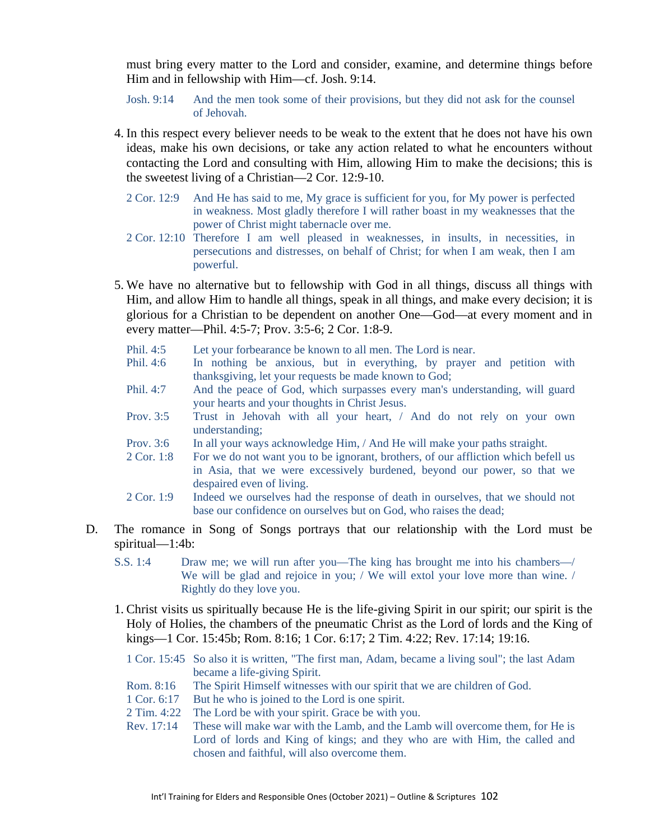must bring every matter to the Lord and consider, examine, and determine things before Him and in fellowship with Him—cf. Josh. 9:14.

- Josh. 9:14 And the men took some of their provisions, but they did not ask for the counsel of Jehovah.
- 4. In this respect every believer needs to be weak to the extent that he does not have his own ideas, make his own decisions, or take any action related to what he encounters without contacting the Lord and consulting with Him, allowing Him to make the decisions; this is the sweetest living of a Christian—2 Cor. 12:9-10.
	- 2 Cor. 12:9 And He has said to me, My grace is sufficient for you, for My power is perfected in weakness. Most gladly therefore I will rather boast in my weaknesses that the power of Christ might tabernacle over me.
	- 2 Cor. 12:10 Therefore I am well pleased in weaknesses, in insults, in necessities, in persecutions and distresses, on behalf of Christ; for when I am weak, then I am powerful.
- 5. We have no alternative but to fellowship with God in all things, discuss all things with Him, and allow Him to handle all things, speak in all things, and make every decision; it is glorious for a Christian to be dependent on another One—God—at every moment and in every matter—Phil. 4:5-7; Prov. 3:5-6; 2 Cor. 1:8-9.
	- Phil. 4:5 Let your forbearance be known to all men. The Lord is near.
	- Phil. 4:6 In nothing be anxious, but in everything, by prayer and petition with thanksgiving, let your requests be made known to God;
	- Phil. 4:7 And the peace of God, which surpasses every man's understanding, will guard your hearts and your thoughts in Christ Jesus.
	- Prov. 3:5 Trust in Jehovah with all your heart, / And do not rely on your own understanding;
	- Prov. 3:6 In all your ways acknowledge Him, / And He will make your paths straight.
	- 2 Cor. 1:8 For we do not want you to be ignorant, brothers, of our affliction which befell us in Asia, that we were excessively burdened, beyond our power, so that we despaired even of living.
	- 2 Cor. 1:9 Indeed we ourselves had the response of death in ourselves, that we should not base our confidence on ourselves but on God, who raises the dead;
- D. The romance in Song of Songs portrays that our relationship with the Lord must be spiritual—1:4b:
	- S.S. 1:4 Draw me; we will run after you—The king has brought me into his chambers—/ We will be glad and rejoice in you; / We will extol your love more than wine. / Rightly do they love you.
	- 1. Christ visits us spiritually because He is the life-giving Spirit in our spirit; our spirit is the Holy of Holies, the chambers of the pneumatic Christ as the Lord of lords and the King of kings—1 Cor. 15:45b; Rom. 8:16; 1 Cor. 6:17; 2 Tim. 4:22; Rev. 17:14; 19:16.
		- 1 Cor. 15:45 So also it is written, "The first man, Adam, became a living soul"; the last Adam became a life-giving Spirit.
		- Rom. 8:16 The Spirit Himself witnesses with our spirit that we are children of God.
		- 1 Cor. 6:17 But he who is joined to the Lord is one spirit.
		- 2 Tim. 4:22 The Lord be with your spirit. Grace be with you.
		- Rev. 17:14 These will make war with the Lamb, and the Lamb will overcome them, for He is Lord of lords and King of kings; and they who are with Him, the called and chosen and faithful, will also overcome them.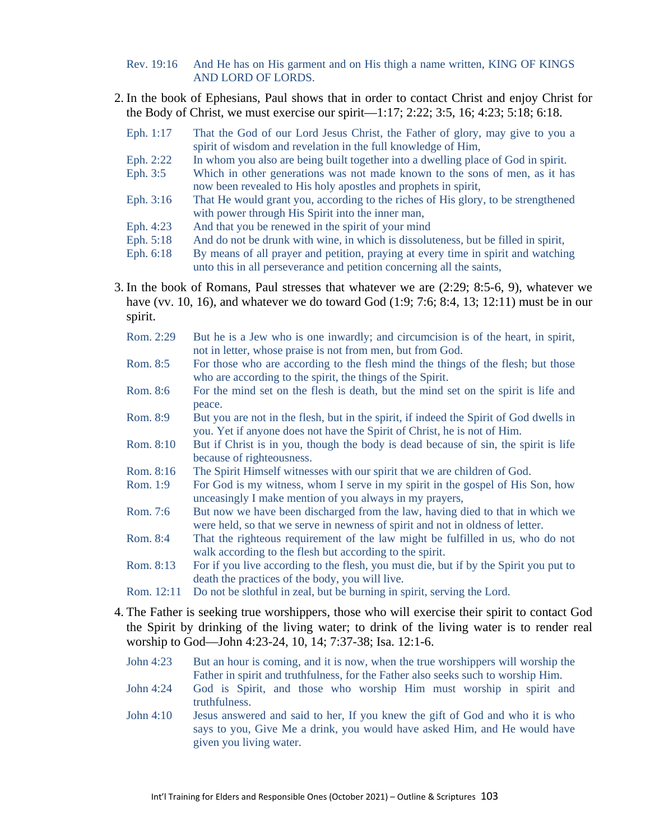- Rev. 19:16 And He has on His garment and on His thigh a name written, KING OF KINGS AND LORD OF LORDS.
- 2. In the book of Ephesians, Paul shows that in order to contact Christ and enjoy Christ for the Body of Christ, we must exercise our spirit—1:17; 2:22; 3:5, 16; 4:23; 5:18; 6:18.
	- Eph. 1:17 That the God of our Lord Jesus Christ, the Father of glory, may give to you a spirit of wisdom and revelation in the full knowledge of Him,
	- Eph. 2:22 In whom you also are being built together into a dwelling place of God in spirit.
	- Eph. 3:5 Which in other generations was not made known to the sons of men, as it has now been revealed to His holy apostles and prophets in spirit,
	- Eph. 3:16 That He would grant you, according to the riches of His glory, to be strengthened with power through His Spirit into the inner man,
	- Eph. 4:23 And that you be renewed in the spirit of your mind<br>Eph. 5:18 And do not be drunk with wine, in which is dissolu
	- And do not be drunk with wine, in which is dissoluteness, but be filled in spirit,
	- Eph. 6:18 By means of all prayer and petition, praying at every time in spirit and watching unto this in all perseverance and petition concerning all the saints,
- 3. In the book of Romans, Paul stresses that whatever we are (2:29; 8:5-6, 9), whatever we have (vv. 10, 16), and whatever we do toward God  $(1:9; 7:6; 8:4, 13; 12:11)$  must be in our spirit.
	- Rom. 2:29 But he is a Jew who is one inwardly; and circumcision is of the heart, in spirit, not in letter, whose praise is not from men, but from God.
	- Rom. 8:5 For those who are according to the flesh mind the things of the flesh; but those who are according to the spirit, the things of the Spirit.
	- Rom. 8:6 For the mind set on the flesh is death, but the mind set on the spirit is life and peace.
	- Rom. 8:9 But you are not in the flesh, but in the spirit, if indeed the Spirit of God dwells in you. Yet if anyone does not have the Spirit of Christ, he is not of Him.
	- Rom. 8:10 But if Christ is in you, though the body is dead because of sin, the spirit is life because of righteousness.
	- Rom. 8:16 The Spirit Himself witnesses with our spirit that we are children of God.
	- Rom. 1:9 For God is my witness, whom I serve in my spirit in the gospel of His Son, how unceasingly I make mention of you always in my prayers,
	- Rom. 7:6 But now we have been discharged from the law, having died to that in which we were held, so that we serve in newness of spirit and not in oldness of letter.
	- Rom. 8:4 That the righteous requirement of the law might be fulfilled in us, who do not walk according to the flesh but according to the spirit.
	- Rom. 8:13 For if you live according to the flesh, you must die, but if by the Spirit you put to death the practices of the body, you will live.
	- Rom. 12:11 Do not be slothful in zeal, but be burning in spirit, serving the Lord.
- 4. The Father is seeking true worshippers, those who will exercise their spirit to contact God the Spirit by drinking of the living water; to drink of the living water is to render real worship to God—John 4:23-24, 10, 14; 7:37-38; Isa. 12:1-6.
	- John 4:23 But an hour is coming, and it is now, when the true worshippers will worship the Father in spirit and truthfulness, for the Father also seeks such to worship Him.
	- John 4:24 God is Spirit, and those who worship Him must worship in spirit and truthfulness.
	- John 4:10 Jesus answered and said to her, If you knew the gift of God and who it is who says to you, Give Me a drink, you would have asked Him, and He would have given you living water.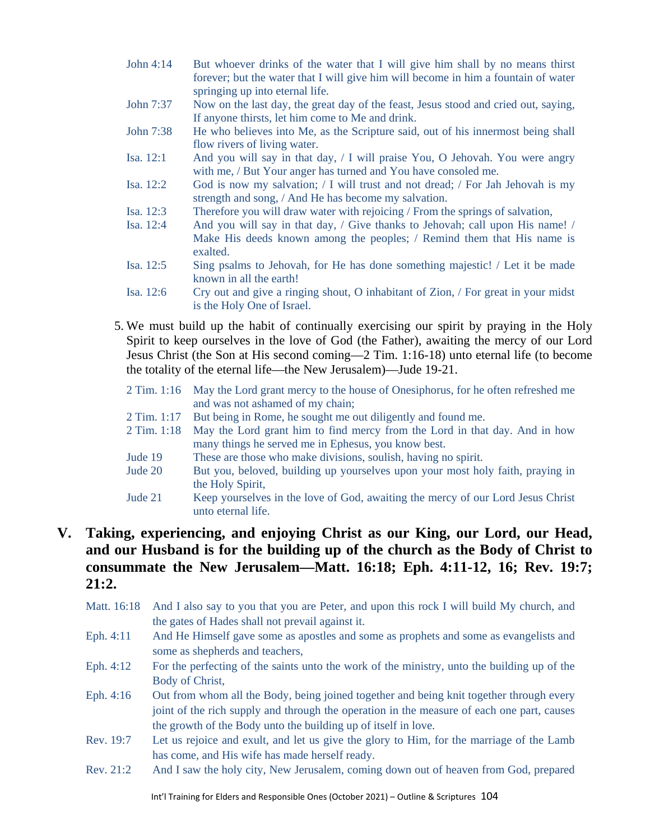- John 4:14 But whoever drinks of the water that I will give him shall by no means thirst forever; but the water that I will give him will become in him a fountain of water springing up into eternal life.
- John 7:37 Now on the last day, the great day of the feast, Jesus stood and cried out, saying, If anyone thirsts, let him come to Me and drink.
- John 7:38 He who believes into Me, as the Scripture said, out of his innermost being shall flow rivers of living water.
- Isa. 12:1 And you will say in that day, / I will praise You, O Jehovah. You were angry with me, / But Your anger has turned and You have consoled me.
- Isa. 12:2 God is now my salvation; / I will trust and not dread; / For Jah Jehovah is my strength and song, / And He has become my salvation.
- Isa. 12:3 Therefore you will draw water with rejoicing / From the springs of salvation,
- Isa. 12:4 And you will say in that day, / Give thanks to Jehovah; call upon His name! / Make His deeds known among the peoples; / Remind them that His name is exalted.
- Isa. 12:5 Sing psalms to Jehovah, for He has done something majestic! / Let it be made known in all the earth!
- Isa. 12:6 Cry out and give a ringing shout, O inhabitant of Zion, / For great in your midst is the Holy One of Israel.
- 5. We must build up the habit of continually exercising our spirit by praying in the Holy Spirit to keep ourselves in the love of God (the Father), awaiting the mercy of our Lord Jesus Christ (the Son at His second coming—2 Tim. 1:16-18) unto eternal life (to become the totality of the eternal life—the New Jerusalem)—Jude 19-21.
	- 2 Tim. 1:16 May the Lord grant mercy to the house of Onesiphorus, for he often refreshed me and was not ashamed of my chain;
	- 2 Tim. 1:17 But being in Rome, he sought me out diligently and found me.
	- 2 Tim. 1:18 May the Lord grant him to find mercy from the Lord in that day. And in how many things he served me in Ephesus, you know best.
	- Jude 19 These are those who make divisions, soulish, having no spirit.
	- Jude 20 But you, beloved, building up yourselves upon your most holy faith, praying in the Holy Spirit,
	- Jude 21 Keep yourselves in the love of God, awaiting the mercy of our Lord Jesus Christ unto eternal life.

# **V. Taking, experiencing, and enjoying Christ as our King, our Lord, our Head, and our Husband is for the building up of the church as the Body of Christ to consummate the New Jerusalem—Matt. 16:18; Eph. 4:11-12, 16; Rev. 19:7; 21:2.**

- Matt. 16:18 And I also say to you that you are Peter, and upon this rock I will build My church, and the gates of Hades shall not prevail against it.
- Eph. 4:11 And He Himself gave some as apostles and some as prophets and some as evangelists and some as shepherds and teachers,
- Eph. 4:12 For the perfecting of the saints unto the work of the ministry, unto the building up of the Body of Christ,
- Eph. 4:16 Out from whom all the Body, being joined together and being knit together through every joint of the rich supply and through the operation in the measure of each one part, causes the growth of the Body unto the building up of itself in love.
- Rev. 19:7 Let us rejoice and exult, and let us give the glory to Him, for the marriage of the Lamb has come, and His wife has made herself ready.
- Rev. 21:2 And I saw the holy city, New Jerusalem, coming down out of heaven from God, prepared